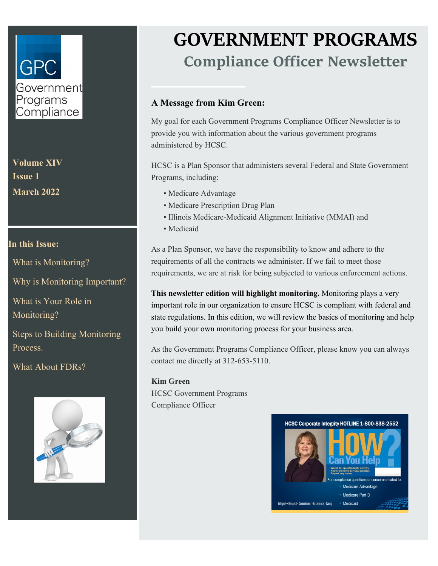## GP( Government Programs Compliance

**Volume XIV Issue 1 March 2022**

#### **In this Issue:**

What is Monitoring?

Why is Monitoring Important?

What is Your Role in Monitoring?

Steps to Building Monitoring Process.

What About FDRs?



# **GOVERNMENT PROGRAMS Compliance Officer Newsletter**

#### **A Message from Kim Green:**

My goal for each Government Programs Compliance Officer Newsletter is to provide you with information about the various government programs administered by HCSC.

HCSC is a Plan Sponsor that administers several Federal and State Government Programs, including:

- Medicare Advantage
- Medicare Prescription Drug Plan
- Illinois Medicare-Medicaid Alignment Initiative (MMAI) and
- Medicaid

As a Plan Sponsor, we have the responsibility to know and adhere to the requirements of all the contracts we administer. If we fail to meet those requirements, we are at risk for being subjected to various enforcement actions.

**This newsletter edition will highlight monitoring.** Monitoring plays a very important role in our organization to ensure HCSC is compliant with federal and state regulations. In this edition, we will review the basics of monitoring and help you build your own monitoring process for your business area.

As the Government Programs Compliance Officer, please know you can always contact me directly at 312-653-5110.

**Kim Green**  HCSC Government Programs Compliance Officer

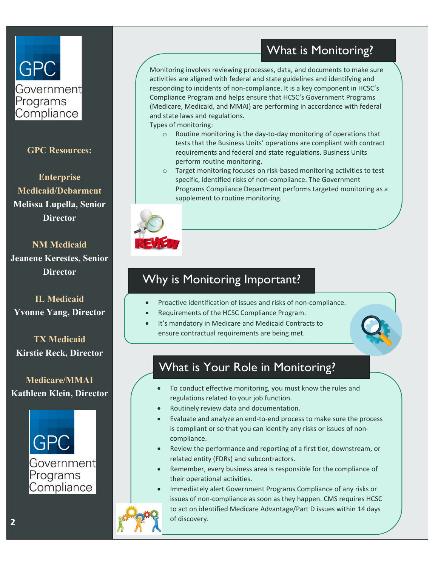#### What is Monitoring?

Monitoring involves reviewing processes, data, and documents to make sure activities are aligned with federal and state guidelines and identifying and responding to incidents of non-compliance. It is a key component in HCSC's Compliance Program and helps ensure that HCSC's Government Programs (Medicare, Medicaid, and MMAI) are performing in accordance with federal and state laws and regulations.

Types of monitoring:

- o Routine monitoring is the day-to-day monitoring of operations that tests that the Business Units' operations are compliant with contract requirements and federal and state regulations. Business Units perform routine monitoring.
- o Target monitoring focuses on risk-based monitoring activities to test specific, identified risks of non-compliance. The Government Programs Compliance Department performs targeted monitoring as a supplement to routine monitoring.



### Why is Monitoring Important?

- Proactive identification of issues and risks of non-compliance.
- Requirements of the HCSC Compliance Program.
- It's mandatory in Medicare and Medicaid Contracts to ensure contractual requirements are being met.

#### What is Your Role in Monitoring?

- To conduct effective monitoring, you must know the rules and regulations related to your job function.
- Routinely review data and documentation.
- Evaluate and analyze an end-to-end process to make sure the process is compliant or so that you can identify any risks or issues of noncompliance.
- Review the performance and reporting of a first tier, downstream, or related entity (FDRs) and subcontractors.
- Remember, every business area is responsible for the compliance of their operational activities.
- Immediately alert Government Programs Compliance of any risks or issues of non-compliance as soon as they happen. CMS requires HCSC to act on identified Medicare Advantage/Part D issues within 14 days of discovery.

**GPC Resources:**

**GPC** 

Programs Compliance

Governmentl

**Enterprise Medicaid/Debarment Melissa Lupella, Senior Director**

**NM Medicaid**

**Jeanene Kerestes, Senior Director**

**IL Medicaid Yvonne Yang, Director**

**TX Medicaid Kirstie Reck, Director**

**Medicare/MMAI Kathleen Klein, Director**